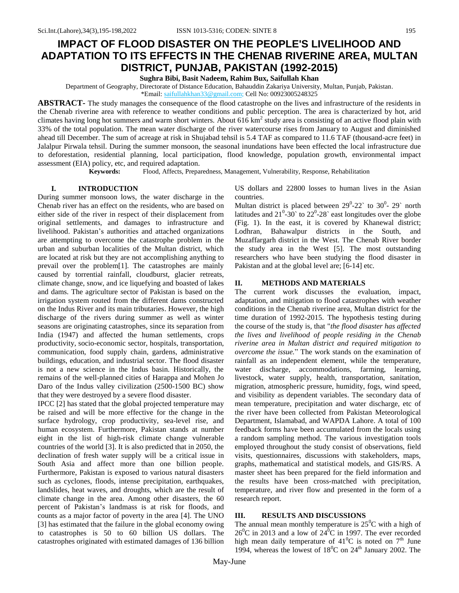# **IMPACT OF FLOOD DISASTER ON THE PEOPLE'S LIVELIHOOD AND ADAPTATION TO ITS EFFECTS IN THE CHENAB RIVERINE AREA, MULTAN DISTRICT, PUNJAB, PAKISTAN (1992-2015)**

**Sughra Bibi, Basit Nadeem, Rahim Bux, Saifullah Khan**

Department of Geography, Directorate of Distance Education, Bahauddin Zakariya University, Multan, Punjab, Pakistan. \*Email: [saifullahkhan33@gmail.com;](mailto:saifullahkhan33@gmail.com) Cell No: 00923005248325

**ABSTRACT-** The study manages the consequence of the flood catastrophe on the lives and infrastructure of the residents in the Chenab riverine area with reference to weather conditions and public perception. The area is characterized by hot, arid climates having long hot summers and warm short winters. About  $616 \text{ km}^2$  study area is consisting of an active flood plain with 33% of the total population. The mean water discharge of the river watercourse rises from January to August and diminished ahead till December. The sum of acreage at risk in Shujabad tehsil is 5.4 TAF as compared to 11.6 TAF (thousand-acre feet) in Jalalpur Pirwala tehsil. During the summer monsoon, the seasonal inundations have been effected the local infrastructure due to deforestation, residential planning, local participation, flood knowledge, population growth, environmental impact assessment (EIA) policy, etc, and required adaptation.

**Keywords:** Flood, Affects, Preparedness, Management, Vulnerability, Response, Rehabilitation

## **I. INTRODUCTION**

During summer monsoon lows, the water discharge in the Chenab river has an effect on the residents, who are based on either side of the river in respect of their displacement from original settlements, and damages to infrastructure and livelihood. Pakistan's authorities and attached organizations are attempting to overcome the catastrophe problem in the urban and suburban localities of the Multan district, which are located at risk but they are not accomplishing anything to prevail over the problem[1]. The catastrophes are mainly caused by torrential rainfall, cloudburst, glacier retreats, climate change, snow, and ice liquefying and boasted of lakes and dams. The agriculture sector of Pakistan is based on the irrigation system routed from the different dams constructed on the Indus River and its main tributaries. However, the high discharge of the rivers during summer as well as winter seasons are originating catastrophes, since its separation from India (1947) and affected the human settlements, crops productivity, socio-economic sector, hospitals, transportation, communication, food supply chain, gardens, administrative buildings, education, and industrial sector. The flood disaster is not a new science in the Indus basin. Historically, the remains of the well-planned cities of Harappa and Mohen Jo Daro of the Indus valley civilization (2500-1500 BC) show that they were destroyed by a severe flood disaster.

IPCC [2] has stated that the global projected temperature may be raised and will be more effective for the change in the surface hydrology, crop productivity, sea-level rise, and human ecosystem. Furthermore, Pakistan stands at number eight in the list of high-risk climate change vulnerable countries of the world [3]. It is also predicted that in 2050, the declination of fresh water supply will be a critical issue in South Asia and affect more than one billion people. Furthermore, Pakistan is exposed to various natural disasters such as cyclones, floods, intense precipitation, earthquakes, landslides, heat waves, and droughts, which are the result of climate change in the area. Among other disasters, the 60 percent of Pakistan's landmass is at risk for floods, and counts as a major factor of poverty in the area [4]. The UNO [3] has estimated that the failure in the global economy owing to catastrophes is 50 to 60 billion US dollars. The catastrophes originated with estimated damages of 136 billion US dollars and 22800 losses to human lives in the Asian countries.

Multan district is placed between  $29^0$ -22` to  $30^0$ - 29` north latitudes and  $21^0$ -30<sup>o</sup> to  $22^0$ -28<sup>o</sup> east longitudes over the globe (Fig. 1). In the east, it is covered by Khanewal district; Lodhran, Bahawalpur districts in the South, and Muzaffargarh district in the West. The Chenab River border the study area in the West [5]. The most outstanding researchers who have been studying the flood disaster in Pakistan and at the global level are; [6-14] etc.

## **II. METHODS AND MATERIALS**

The current work discusses the evaluation, impact, adaptation, and mitigation to flood catastrophes with weather conditions in the Chenab riverine area, Multan district for the time duration of 1992-2015. The hypothesis testing during the course of the study is, that "*the flood disaster has affected the lives and livelihood of people residing in the Chenab riverine area in Multan district and required mitigation to overcome the issue.*" The work stands on the examination of rainfall as an independent element, while the temperature, water discharge, accommodations, farming, learning, livestock, water supply, health, transportation, sanitation, migration, atmospheric pressure, humidity, fogs, wind speed, and visibility as dependent variables. The secondary data of mean temperature, precipitation and water discharge, etc of the river have been collected from Pakistan Meteorological Department, Islamabad, and WAPDA Lahore. A total of 100 feedback forms have been accumulated from the locals using a random sampling method. The various investigation tools employed throughout the study consist of observations, field visits, questionnaires, discussions with stakeholders, maps, graphs, mathematical and statistical models, and GIS/RS. A master sheet has been prepared for the field information and the results have been cross-matched with precipitation, temperature, and river flow and presented in the form of a research report.

### **III. RESULTS AND DISCUSSIONS**

The annual mean monthly temperature is  $25^{\circ}$ C with a high of  $26^{\circ}$ C in 2013 and a low of  $24^{\circ}$ C in 1997. The ever recorded high mean daily temperature of  $41^{\circ}$ C is noted on  $7^{\text{th}}$  June 1994, whereas the lowest of  $18^{\circ}$ C on  $24^{\text{th}}$  January 2002. The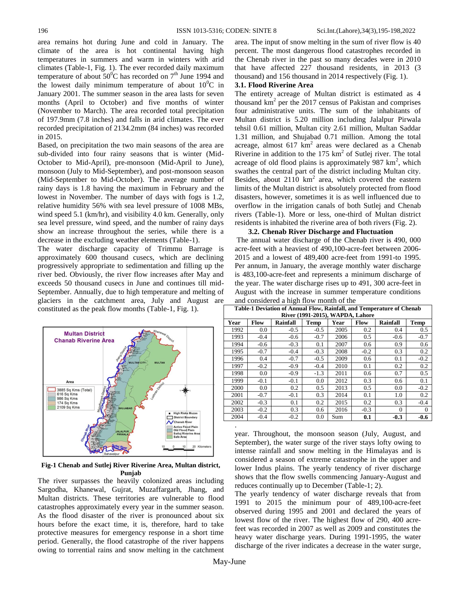area remains hot during June and cold in January. The climate of the area is hot continental having high temperatures in summers and warm in winters with arid climates (Table-1, Fig. 1). The ever recorded daily maximum temperature of about  $50^{\circ}$ C has recorded on  $7^{\text{th}}$  June 1994 and the lowest daily minimum temperature of about  $10^{0}$ C in January 2001. The summer season in the area lasts for seven months (April to October) and five months of winter (November to March). The area recorded total precipitation of 197.9mm (7.8 inches) and falls in arid climates. The ever recorded precipitation of 2134.2mm (84 inches) was recorded in 2015.

Based, on precipitation the two main seasons of the area are sub-divided into four rainy seasons that is winter (Mid-October to Mid-April), pre-monsoon (Mid-April to June), monsoon (July to Mid-September), and post-monsoon season (Mid-September to Mid-October). The average number of rainy days is 1.8 having the maximum in February and the lowest in November. The number of days with fogs is 1.2, relative humidity 56% with sea level pressure of 1008 MBs, wind speed 5.1 (km/hr), and visibility 4.0 km. Generally, only sea level pressure, wind speed, and the number of rainy days show an increase throughout the series, while there is a decrease in the excluding weather elements (Table-1).

The water discharge capacity of Trimmu Barrage is approximately 600 thousand cusecs, which are declining progressively appropriate to sedimentation and filling up the river bed. Obviously, the river flow increases after May and exceeds 50 thousand cusecs in June and continues till mid-September. Annually, due to high temperature and melting of glaciers in the catchment area, July and August are constituted as the peak flow months (Table-1, Fig. 1).



**Fig-1 Chenab and Sutlej River Riverine Area, Multan district, Punjab**

The river surpasses the heavily colonized areas including Sargodha, Khanewal, Gujrat, Muzaffargarh, Jhang, and Multan districts. These territories are vulnerable to flood catastrophes approximately every year in the summer season. As the flood disaster of the river is pronounced about six hours before the exact time, it is, therefore, hard to take protective measures for emergency response in a short time period. Generally, the flood catastrophe of the river happens owing to torrential rains and snow melting in the catchment

area. The input of snow melting in the sum of river flow is 40 percent. The most dangerous flood catastrophes recorded in the Chenab river in the past so many decades were in 2010 that have affected 227 thousand residents, in 2013 (3 thousand) and 156 thousand in 2014 respectively (Fig. 1).

## **3.1. Flood Riverine Area**

The entirety acreage of Multan district is estimated as 4 thousand  $km^2$  per the 2017 census of Pakistan and comprises four administrative units. The sum of the inhabitants of Multan district is 5.20 million including Jalalpur Pirwala tehsil 0.61 million, Multan city 2.61 million, Multan Saddar 1.31 million, and Shujabad 0.71 million. Among the total acreage, almost  $617 \text{ km}^2$  areas were declared as a Chenab Riverine in addition to the  $175 \text{ km}^2$  of Sutlej river. The total acreage of old flood plains is approximately  $987 \text{ km}^2$ , which swathes the central part of the district including Multan city. Besides, about  $2110 \text{ km}^2$  area, which covered the eastern limits of the Multan district is absolutely protected from flood disasters, however, sometimes it is as well influenced due to overflow in the irrigation canals of both Sutlej and Chenab rivers (Table-1). More or less, one-third of Multan district residents is inhabited the riverine area of both rivers (Fig. 2).

#### **3.2. Chenab River Discharge and Fluctuation**

The annual water discharge of the Chenab river is 490, 000 acre-feet with a heaviest of 490,100-acre-feet between 2006- 2015 and a lowest of 489,400 acre-feet from 1991-to 1995. Per annum, in January, the average monthly water discharge is 483,100-acre-feet and represents a minimum discharge of the year. The water discharge rises up to 491, 300 acre-feet in August with the increase in summer temperature conditions and considered a high flow month of the

| Table-1 Deviation of Annual Flow, Rainfall, and Temperature of Chenab |        |          |             |      |             |                 |             |  |  |  |  |  |
|-----------------------------------------------------------------------|--------|----------|-------------|------|-------------|-----------------|-------------|--|--|--|--|--|
| River (1991-2015), WAPDA, Lahore                                      |        |          |             |      |             |                 |             |  |  |  |  |  |
| Year                                                                  | Flow   | Rainfall | <b>Temp</b> | Year | <b>Flow</b> | <b>Rainfall</b> | <b>Temp</b> |  |  |  |  |  |
| 1992                                                                  | 0.0    | $-0.5$   | $-0.5$      | 2005 | 0.2         | 0.4             | 0.5         |  |  |  |  |  |
| 1993                                                                  | $-0.4$ | $-0.6$   | $-0.7$      | 2006 | 0.5         | $-0.6$          | $-0.7$      |  |  |  |  |  |
| 1994                                                                  | $-0.6$ | $-0.3$   | 0.1         | 2007 | 0.6         | 0.9             | 0.6         |  |  |  |  |  |
| 1995                                                                  | $-0.7$ | $-0.4$   | $-0.3$      | 2008 | $-0.2$      | 0.3             | 0.2         |  |  |  |  |  |
| 1996                                                                  | 0.4    | $-0.7$   | $-0.5$      | 2009 | 0.6         | 0.1             | $-0.2$      |  |  |  |  |  |
| 1997                                                                  | $-0.2$ | $-0.9$   | $-0.4$      | 2010 | 0.1         | 0.2             | 0.2         |  |  |  |  |  |
| 1998                                                                  | 0.0    | $-0.9$   | $-1.3$      | 2011 | 0.6         | 0.7             | 0.5         |  |  |  |  |  |
| 1999                                                                  | $-0.1$ | $-0.1$   | 0.0         | 2012 | 0.3         | 0.6             | 0.1         |  |  |  |  |  |
| 2000                                                                  | 0.0    | 0.2      | 0.5         | 2013 | 0.5         | 0.0             | $-0.2$      |  |  |  |  |  |
| 2001                                                                  | $-0.7$ | $-0.1$   | 0.3         | 2014 | 0.1         | 1.0             | 0.2         |  |  |  |  |  |
| 2002                                                                  | $-0.3$ | 0.1      | 0.2         | 2015 | 0.2         | 0.3             | $-0.4$      |  |  |  |  |  |
| 2003                                                                  | $-0.2$ | 0.3      | 0.6         | 2016 | $-0.3$      | $\Omega$        | $\Omega$    |  |  |  |  |  |
| 2004                                                                  | $-0.4$ | $-0.2$   | 0.0         | Sum  | 0.1         | $-0.3$          | $-0.6$      |  |  |  |  |  |
| ٠                                                                     |        |          |             |      |             |                 |             |  |  |  |  |  |

year. Throughout, the monsoon season (July, August, and September), the water surge of the river stays lofty owing to intense rainfall and snow melting in the Himalayas and is considered a season of extreme catastrophe in the upper and lower Indus plains. The yearly tendency of river discharge shows that the flow swells commencing January-August and reduces continually up to December (Table-1; 2).

The yearly tendency of water discharge reveals that from 1991 to 2015 the minimum pour of 489,100-acre-feet observed during 1995 and 2001 and declared the years of lowest flow of the river. The highest flow of 290, 400 acrefeet was recorded in 2007 as well as 2009 and constitutes the heavy water discharge years. During 1991-1995, the water discharge of the river indicates a decrease in the water surge,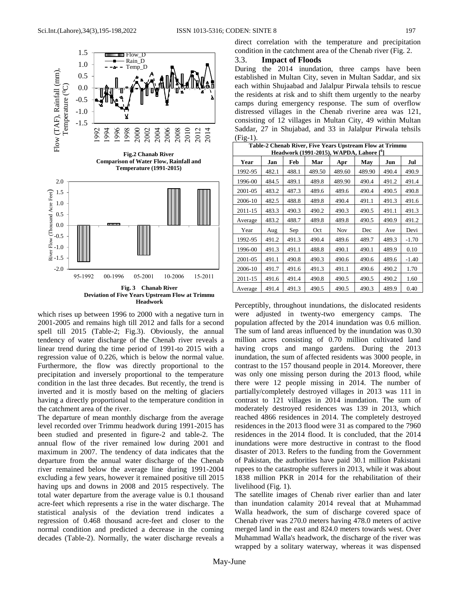

which rises up between 1996 to 2000 with a negative turn in 2001-2005 and remains high till 2012 and falls for a second spell till 2015 (Table-2; Fig.3). Obviously, the annual tendency of water discharge of the Chenab river reveals a linear trend during the time period of 1991-to 2015 with a regression value of 0.226, which is below the normal value. Furthermore, the flow was directly proportional to the precipitation and inversely proportional to the temperature condition in the last three decades. But recently, the trend is inverted and it is mostly based on the melting of glaciers having a directly proportional to the temperature condition in the catchment area of the river.

The departure of mean monthly discharge from the average level recorded over Trimmu headwork during 1991-2015 has been studied and presented in figure-2 and table-2. The annual flow of the river remained low during 2001 and maximum in 2007. The tendency of data indicates that the departure from the annual water discharge of the Chenab river remained below the average line during 1991-2004 excluding a few years, however it remained positive till 2015 having ups and downs in 2008 and 2015 respectively. The total water departure from the average value is 0.1 thousand acre-feet which represents a rise in the water discharge. The statistical analysis of the deviation trend indicates a regression of 0.468 thousand acre-feet and closer to the normal condition and predicted a decrease in the coming decades (Table-2). Normally, the water discharge reveals a direct correlation with the temperature and precipitation condition in the catchment area of the Chenab river (Fig. 2.

## 3.3. **Impact of Floods**

During the 2014 inundation, three camps have been established in Multan City, seven in Multan Saddar, and six each within Shujaabad and Jalalpur Pirwala tehsils to rescue the residents at risk and to shift them urgently to the nearby camps during emergency response. The sum of overflow distressed villages in the Chenab riverine area was 121, consisting of 12 villages in Multan City, 49 within Multan Saddar, 27 in Shujabad, and 33 in Jalalpur Pirwala tehsils (Fig-1).

| Table-2 Chenab River, Five Years Upstream Flow at Trimmu |       |       |        |            |        |       |         |  |  |  |  |  |
|----------------------------------------------------------|-------|-------|--------|------------|--------|-------|---------|--|--|--|--|--|
| Headwork (1991-2015), WAPDA, Lahore [ <sup>6</sup> ]     |       |       |        |            |        |       |         |  |  |  |  |  |
| Year                                                     | Jan   | Feb   | Mar    | Apr        | May    | Jun   | Jul     |  |  |  |  |  |
| 1992-95                                                  | 482.1 | 488.1 | 489.50 | 489.60     | 489.90 | 490.4 | 490.9   |  |  |  |  |  |
| 1996-00                                                  | 484.5 | 489.1 | 489.8  | 489.90     | 490.4  | 491.2 | 491.4   |  |  |  |  |  |
| 2001-05                                                  | 483.2 | 487.3 | 489.6  | 489.6      | 490.4  | 490.5 | 490.8   |  |  |  |  |  |
| 2006-10                                                  | 482.5 | 488.8 | 489.8  | 490.4      | 491.1  | 491.3 | 491.6   |  |  |  |  |  |
| 2011-15                                                  | 483.3 | 490.3 | 490.2  | 490.3      | 490.5  | 491.1 | 491.3   |  |  |  |  |  |
| Average                                                  | 483.2 | 488.7 | 489.8  | 489.8      | 490.5  | 490.9 | 491.2   |  |  |  |  |  |
| Year                                                     | Aug   | Sep   | Oct    | <b>Nov</b> | Dec    | Ave   | Devi    |  |  |  |  |  |
| 1992-95                                                  | 491.2 | 491.3 | 490.4  | 489.6      | 489.7  | 489.3 | $-1.70$ |  |  |  |  |  |
| 1996-00                                                  | 491.3 | 491.1 | 488.8  | 490.1      | 490.1  | 489.9 | 0.10    |  |  |  |  |  |
| 2001-05                                                  | 491.1 | 490.8 | 490.3  | 490.6      | 490.6  | 489.6 | $-1.40$ |  |  |  |  |  |
| 2006-10                                                  | 491.7 | 491.6 | 491.3  | 491.1      | 490.6  | 490.2 | 1.70    |  |  |  |  |  |
| 2011-15                                                  | 491.6 | 491.4 | 490.8  | 490.5      | 490.5  | 490.2 | 1.60    |  |  |  |  |  |
| Average                                                  | 491.4 | 491.3 | 490.5  | 490.5      | 490.3  | 489.9 | 0.40    |  |  |  |  |  |

Perceptibly, throughout inundations, the dislocated residents were adjusted in twenty-two emergency camps. The population affected by the 2014 inundation was 0.6 million. The sum of land areas influenced by the inundation was 0.30 million acres consisting of 0.70 million cultivated land having crops and mango gardens. During the 2013 inundation, the sum of affected residents was 3000 people, in contrast to the 157 thousand people in 2014. Moreover, there was only one missing person during the 2013 flood, while there were 12 people missing in 2014. The number of partially/completely destroyed villages in 2013 was 111 in contrast to 121 villages in 2014 inundation. The sum of moderately destroyed residences was 139 in 2013, which reached 4866 residences in 2014. The completely destroyed residences in the 2013 flood were 31 as compared to the 7960 residences in the 2014 flood. It is concluded, that the 2014 inundations were more destructive in contrast to the flood disaster of 2013. Refers to the funding from the Government of Pakistan, the authorities have paid 30.1 million Pakistani rupees to the catastrophe sufferers in 2013, while it was about 1838 million PKR in 2014 for the rehabilitation of their livelihood (Fig. 1).

The satellite images of Chenab river earlier than and later than inundation calamity 2014 reveal that at Muhammad Walla headwork, the sum of discharge covered space of Chenab river was 270.0 meters having 478.0 meters of active merged land in the east and 824.0 meters towards west. Over Muhammad Walla's headwork, the discharge of the river was wrapped by a solitary waterway, whereas it was dispensed